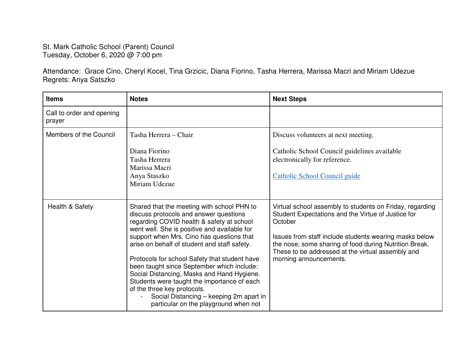## St. Mark Catholic School (Parent) Council Tuesday, October 6, 2020 @ 7:00 pm

Attendance: Grace Cino, Cheryl Kocel, Tina Grzicic, Diana Fiorino, Tasha Herrera, Marissa Macri and Miriam Udezue Regrets: Anya Satszko

| <b>Items</b>                        | <b>Notes</b>                                                                                                                                                                                                                                                                                                                                                                                                                                                                                                                                                                                  | <b>Next Steps</b>                                                                                                                                                                                                                                                                                                            |
|-------------------------------------|-----------------------------------------------------------------------------------------------------------------------------------------------------------------------------------------------------------------------------------------------------------------------------------------------------------------------------------------------------------------------------------------------------------------------------------------------------------------------------------------------------------------------------------------------------------------------------------------------|------------------------------------------------------------------------------------------------------------------------------------------------------------------------------------------------------------------------------------------------------------------------------------------------------------------------------|
| Call to order and opening<br>prayer |                                                                                                                                                                                                                                                                                                                                                                                                                                                                                                                                                                                               |                                                                                                                                                                                                                                                                                                                              |
| Members of the Council              | Tasha Herrera – Chair<br>Diana Fiorino<br>Tasha Herrera<br>Marissa Macri<br>Anya Staszko<br>Miriam Udezue                                                                                                                                                                                                                                                                                                                                                                                                                                                                                     | Discuss volunteers at next meeting.<br>Catholic School Council guidelines available<br>electronically for reference.<br>Catholic School Council guide                                                                                                                                                                        |
| Health & Safety                     | Shared that the meeting with school PHN to<br>discuss protocols and answer questions<br>regarding COVID health & safety at school<br>went well. She is positive and available for<br>support when Mrs. Cino has questions that<br>arise on behalf of student and staff safety.<br>Protocols for school Safety that student have<br>been taught since September which include:<br>Social Distancing, Masks and Hand Hygiene.<br>Students were taught the importance of each<br>of the three key protocols.<br>Social Distancing - keeping 2m apart in<br>particular on the playground when not | Virtual school assembly to students on Friday, regarding<br>Student Expectations and the Virtue of Justice for<br>October<br>Issues from staff include students wearing masks below<br>the nose; some sharing of food during Nutrition Break.<br>These to be addressed at the virtual assembly and<br>morning announcements. |